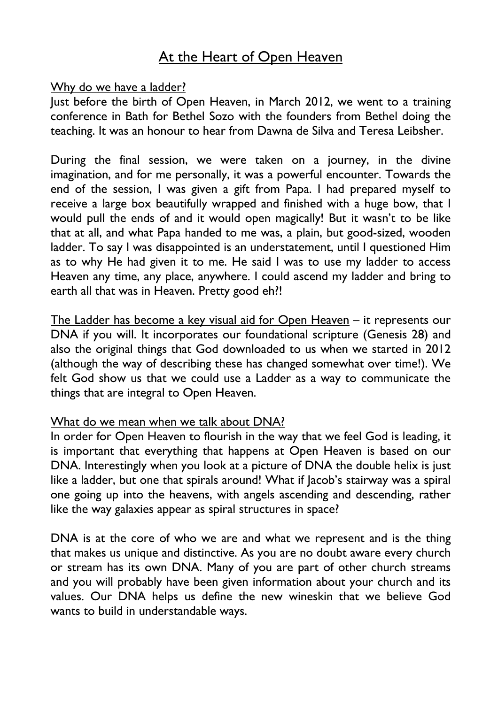# At the Heart of Open Heaven

#### Why do we have a ladder?

Just before the birth of Open Heaven, in March 2012, we went to a training conference in Bath for Bethel Sozo with the founders from Bethel doing the teaching. It was an honour to hear from Dawna de Silva and Teresa Leibsher.

During the final session, we were taken on a journey, in the divine imagination, and for me personally, it was a powerful encounter. Towards the end of the session, I was given a gift from Papa. I had prepared myself to receive a large box beautifully wrapped and finished with a huge bow, that I would pull the ends of and it would open magically! But it wasn't to be like that at all, and what Papa handed to me was, a plain, but good-sized, wooden ladder. To say I was disappointed is an understatement, until I questioned Him as to why He had given it to me. He said I was to use my ladder to access Heaven any time, any place, anywhere. I could ascend my ladder and bring to earth all that was in Heaven. Pretty good eh?!

The Ladder has become a key visual aid for Open Heaven - it represents our DNA if you will. It incorporates our foundational scripture (Genesis 28) and also the original things that God downloaded to us when we started in 2012 (although the way of describing these has changed somewhat over time!). We felt God show us that we could use a Ladder as a way to communicate the things that are integral to Open Heaven.

#### What do we mean when we talk about DNA?

In order for Open Heaven to flourish in the way that we feel God is leading, it is important that everything that happens at Open Heaven is based on our DNA. Interestingly when you look at a picture of DNA the double helix is just like a ladder, but one that spirals around! What if Jacob's stairway was a spiral one going up into the heavens, with angels ascending and descending, rather like the way galaxies appear as spiral structures in space?

DNA is at the core of who we are and what we represent and is the thing that makes us unique and distinctive. As you are no doubt aware every church or stream has its own DNA. Many of you are part of other church streams and you will probably have been given information about your church and its values. Our DNA helps us define the new wineskin that we believe God wants to build in understandable ways.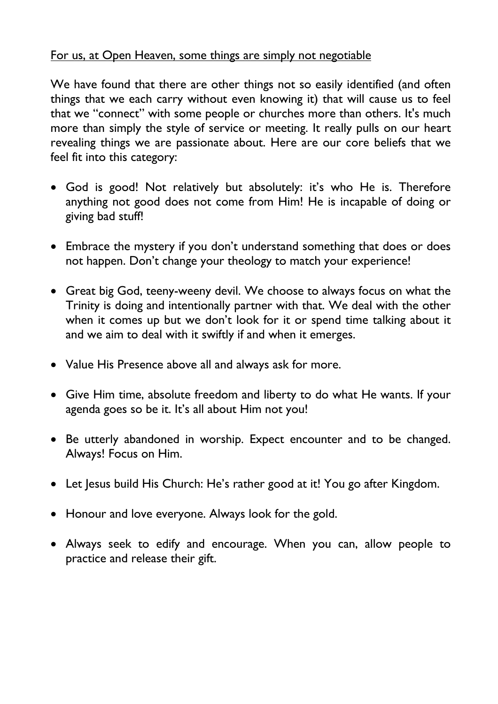# For us, at Open Heaven, some things are simply not negotiable

We have found that there are other things not so easily identified (and often things that we each carry without even knowing it) that will cause us to feel that we "connect" with some people or churches more than others. It's much more than simply the style of service or meeting. It really pulls on our heart revealing things we are passionate about. Here are our core beliefs that we feel fit into this category:

- God is good! Not relatively but absolutely: it's who He is. Therefore anything not good does not come from Him! He is incapable of doing or giving bad stuff!
- Embrace the mystery if you don't understand something that does or does not happen. Don't change your theology to match your experience!
- Great big God, teeny-weeny devil. We choose to always focus on what the Trinity is doing and intentionally partner with that. We deal with the other when it comes up but we don't look for it or spend time talking about it and we aim to deal with it swiftly if and when it emerges.
- Value His Presence above all and always ask for more.
- Give Him time, absolute freedom and liberty to do what He wants. If your agenda goes so be it. It's all about Him not you!
- Be utterly abandoned in worship. Expect encounter and to be changed. Always! Focus on Him.
- Let Jesus build His Church: He's rather good at it! You go after Kingdom.
- Honour and love everyone. Always look for the gold.
- Always seek to edify and encourage. When you can, allow people to practice and release their gift.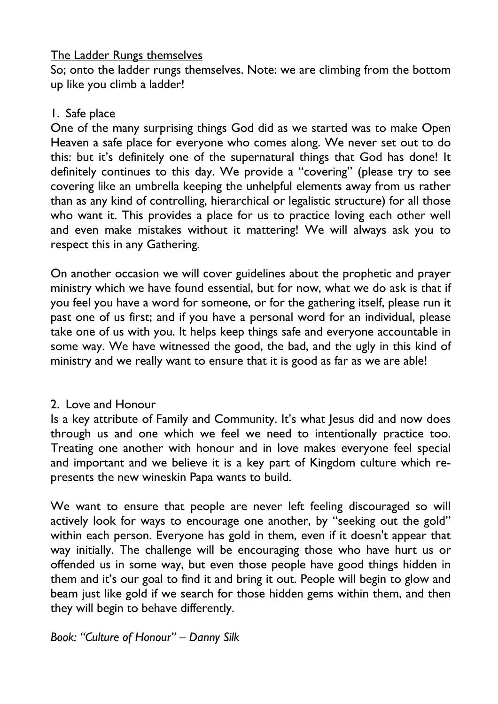# The Ladder Rungs themselves

So; onto the ladder rungs themselves. Note: we are climbing from the bottom up like you climb a ladder!

# 1. Safe place

One of the many surprising things God did as we started was to make Open Heaven a safe place for everyone who comes along. We never set out to do this: but it's definitely one of the supernatural things that God has done! It definitely continues to this day. We provide a "covering" (please try to see covering like an umbrella keeping the unhelpful elements away from us rather than as any kind of controlling, hierarchical or legalistic structure) for all those who want it. This provides a place for us to practice loving each other well and even make mistakes without it mattering! We will always ask you to respect this in any Gathering.

On another occasion we will cover guidelines about the prophetic and prayer ministry which we have found essential, but for now, what we do ask is that if you feel you have a word for someone, or for the gathering itself, please run it past one of us first; and if you have a personal word for an individual, please take one of us with you. It helps keep things safe and everyone accountable in some way. We have witnessed the good, the bad, and the ugly in this kind of ministry and we really want to ensure that it is good as far as we are able!

## 2. Love and Honour

Is a key attribute of Family and Community. It's what Jesus did and now does through us and one which we feel we need to intentionally practice too. Treating one another with honour and in love makes everyone feel special and important and we believe it is a key part of Kingdom culture which represents the new wineskin Papa wants to build.

We want to ensure that people are never left feeling discouraged so will actively look for ways to encourage one another, by "seeking out the gold" within each person. Everyone has gold in them, even if it doesn't appear that way initially. The challenge will be encouraging those who have hurt us or offended us in some way, but even those people have good things hidden in them and it's our goal to find it and bring it out. People will begin to glow and beam just like gold if we search for those hidden gems within them, and then they will begin to behave differently.

*Book: "Culture of Honour" – Danny Silk*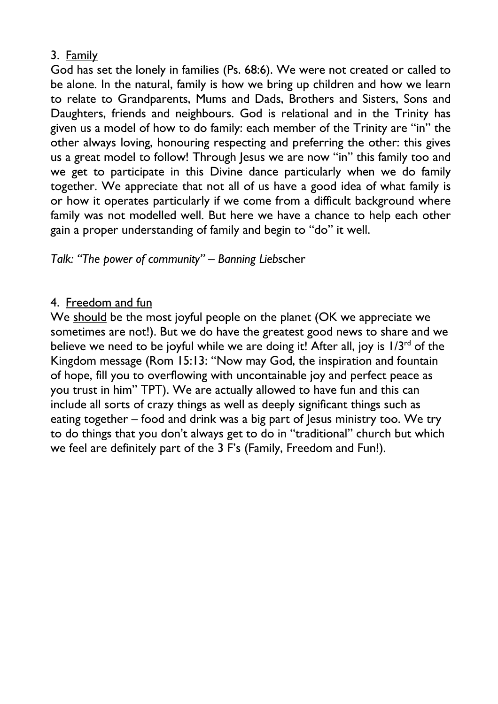# 3. Family

God has set the lonely in families (Ps. 68:6). We were not created or called to be alone. In the natural, family is how we bring up children and how we learn to relate to Grandparents, Mums and Dads, Brothers and Sisters, Sons and Daughters, friends and neighbours. God is relational and in the Trinity has given us a model of how to do family: each member of the Trinity are "in" the other always loving, honouring respecting and preferring the other: this gives us a great model to follow! Through Jesus we are now "in" this family too and we get to participate in this Divine dance particularly when we do family together. We appreciate that not all of us have a good idea of what family is or how it operates particularly if we come from a difficult background where family was not modelled well. But here we have a chance to help each other gain a proper understanding of family and begin to "do" it well.

# *Talk: "The power of community" – Banning Liebs*cher

## 4. Freedom and fun

We should be the most joyful people on the planet (OK we appreciate we sometimes are not!). But we do have the greatest good news to share and we believe we need to be joyful while we are doing it! After all, joy is  $1/3^{rd}$  of the Kingdom message (Rom 15:13: "Now may God, the inspiration and fountain of hope, fill you to overflowing with uncontainable joy and perfect peace as you trust in him" TPT). We are actually allowed to have fun and this can include all sorts of crazy things as well as deeply significant things such as eating together – food and drink was a big part of lesus ministry too. We try to do things that you don't always get to do in "traditional" church but which we feel are definitely part of the 3 F's (Family, Freedom and Fun!).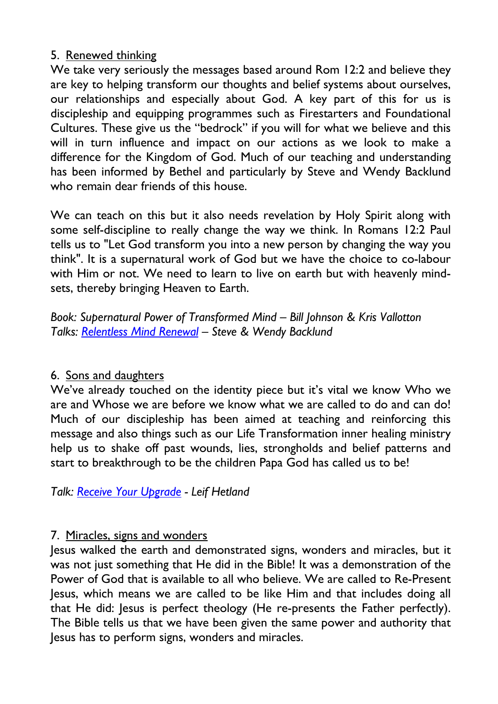## 5. Renewed thinking

We take very seriously the messages based around Rom 12:2 and believe they are key to helping transform our thoughts and belief systems about ourselves, our relationships and especially about God. A key part of this for us is discipleship and equipping programmes such as Firestarters and Foundational Cultures. These give us the "bedrock" if you will for what we believe and this will in turn influence and impact on our actions as we look to make a difference for the Kingdom of God. Much of our teaching and understanding has been informed by Bethel and particularly by Steve and Wendy Backlund who remain dear friends of this house.

We can teach on this but it also needs revelation by Holy Spirit along with some self-discipline to really change the way we think. In Romans 12:2 Paul tells us to "Let God transform you into a new person by changing the way you think". It is a supernatural work of God but we have the choice to co-labour with Him or not. We need to learn to live on earth but with heavenly mindsets, thereby bringing Heaven to Earth.

*Book: Supernatural Power of Transformed Mind – Bill Johnson & Kris Vallotton Talks: Relentless Mind Renewal – Steve & Wendy Backlund*

# 6. Sons and daughters

We've already touched on the identity piece but it's vital we know Who we are and Whose we are before we know what we are called to do and can do! Much of our discipleship has been aimed at teaching and reinforcing this message and also things such as our Life Transformation inner healing ministry help us to shake off past wounds, lies, strongholds and belief patterns and start to breakthrough to be the children Papa God has called us to be!

*Talk: Receive Your Upgrade - Leif Hetland*

## 7. Miracles, signs and wonders

Jesus walked the earth and demonstrated signs, wonders and miracles, but it was not just something that He did in the Bible! It was a demonstration of the Power of God that is available to all who believe. We are called to Re-Present Jesus, which means we are called to be like Him and that includes doing all that He did: Jesus is perfect theology (He re-presents the Father perfectly). The Bible tells us that we have been given the same power and authority that Jesus has to perform signs, wonders and miracles.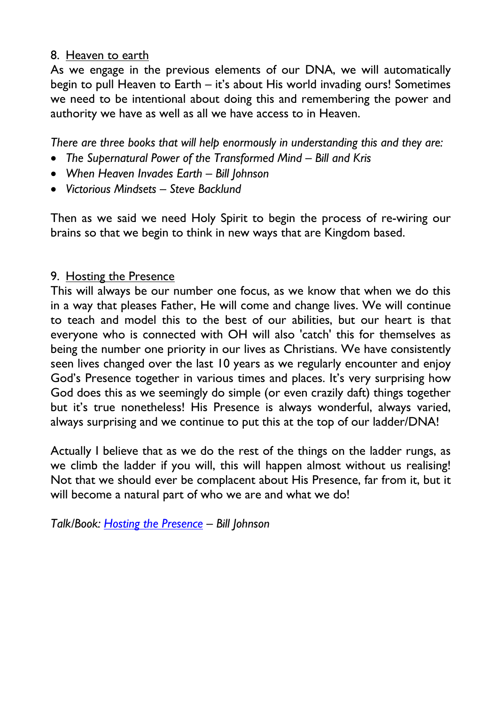## 8. Heaven to earth

As we engage in the previous elements of our DNA, we will automatically begin to pull Heaven to Earth – it's about His world invading ours! Sometimes we need to be intentional about doing this and remembering the power and authority we have as well as all we have access to in Heaven.

*There are three books that will help enormously in understanding this and they are:*

- *The Supernatural Power of the Transformed Mind – Bill and Kris*
- *When Heaven Invades Earth – Bill Johnson*
- *Victorious Mindsets – Steve Backlund*

Then as we said we need Holy Spirit to begin the process of re-wiring our brains so that we begin to think in new ways that are Kingdom based.

## 9. Hosting the Presence

This will always be our number one focus, as we know that when we do this in a way that pleases Father, He will come and change lives. We will continue to teach and model this to the best of our abilities, but our heart is that everyone who is connected with OH will also 'catch' this for themselves as being the number one priority in our lives as Christians. We have consistently seen lives changed over the last 10 years as we regularly encounter and enjoy God's Presence together in various times and places. It's very surprising how God does this as we seemingly do simple (or even crazily daft) things together but it's true nonetheless! His Presence is always wonderful, always varied, always surprising and we continue to put this at the top of our ladder/DNA!

Actually I believe that as we do the rest of the things on the ladder rungs, as we climb the ladder if you will, this will happen almost without us realising! Not that we should ever be complacent about His Presence, far from it, but it will become a natural part of who we are and what we do!

*Talk/Book: Hosting the Presence – Bill Johnson*